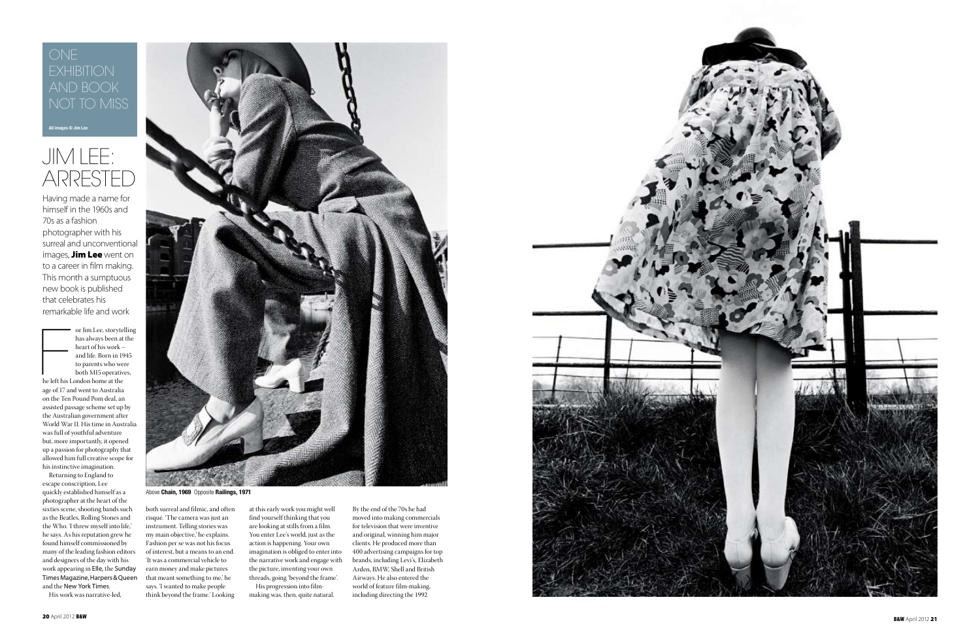

Having made a name for himself in the 1960s and 70s as a fashion photographer with his surreal and unconventional images, **Jim Lee** went on to a career in film making. This month a sumptuous new book is published that celebrates his remarkable life and work

or Jim Lee, storyte<br>has always been at<br>heart of his work -<br>and life. Born in 19<br>to parents who we<br>both MI5 operativ<br>he left his London home at the or Jim Lee, storytelling has always been at the heart of his work – and life. Born in 1945 to parents who were both MI5 operatives,

## ONE **EXHIBITION** AND BOOK NOT TO MISS

## JIM LEE: ARRESTED



Above **Chain, 1969** Opposite **Railings, 1971**

age of 17 and went to Australia on the Ten Pound Pom deal, an assisted passage scheme set up by the Australian government after World War II. His time in Australia was full of youthful adventure but, more importantly, it opened up a passion for photography that allowed him full creative scope for his instinctive imagination.

Returning to England to escape conscription, Lee quickly established himself as a photographer at the heart of the sixties scene, shooting bands such as the Beatles, Rolling Stones and the Who. 'I threw myself into life,' he says. As his reputation grew he found himself commissioned by many of the leading fashion editors and designers of the day with his work appearing in Elle, the Sunday Times Magazine, Harpers & Queen and the New York Times .

His work was narrative-led,

both surreal and filmic, and often risqué. 'The camera was just an instrument. Telling stories was my main objective,' he explains. Fashion per se was not his focus of interest, but a means to an end. 'It was a commercial vehicle to earn money and make pictures that meant something to me,' he says. 'I wanted to make people think beyond the frame.' Looking

at this early work you might well find yourself thinking that you are looking at stills from a film. You enter Lee's world, just as the action is happening. Your own imagination is obliged to enter into the narrative work and engage with the picture, inventing your own threads, going 'beyond the frame'. His progression into film-

making was, then, quite natural.

By the end of the 70s he had moved into making commercials for television that were inventive and original, winning him major clients. He produced more than 400 advertising campaigns for top brands, including Levi's, Elizabeth Arden, BMW, Shell and British Airways. He also entered the world of feature film-making, including directing the 1992

**All images © Jim Lee**